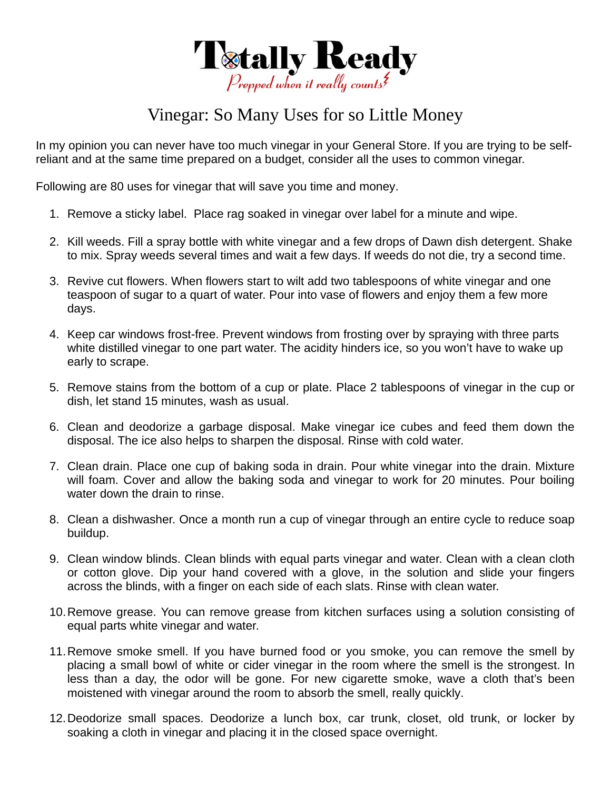

## Vinegar: So Many Uses for so Little Money

In my opinion you can never have too much vinegar in your General Store. If you are trying to be selfreliant and at the same time prepared on a budget, consider all the uses to common vinegar.

Following are 80 uses for vinegar that will save you time and money.

- 1. Remove a sticky label. Place rag soaked in vinegar over label for a minute and wipe.
- 2. Kill weeds. Fill a spray bottle with white vinegar and a few drops of Dawn dish detergent. Shake to mix. Spray weeds several times and wait a few days. If weeds do not die, try a second time.
- 3. Revive cut flowers. When flowers start to wilt add two tablespoons of white vinegar and one teaspoon of sugar to a quart of water. Pour into vase of flowers and enjoy them a few more days.
- 4. Keep car windows frost-free. Prevent windows from frosting over by spraying with three parts white distilled vinegar to one part water. The acidity hinders ice, so you won't have to wake up early to scrape.
- 5. Remove stains from the bottom of a cup or plate. Place 2 tablespoons of vinegar in the cup or dish, let stand 15 minutes, wash as usual.
- 6. Clean and deodorize a garbage disposal. Make vinegar ice cubes and feed them down the disposal. The ice also helps to sharpen the disposal. Rinse with cold water.
- 7. Clean drain. Place one cup of baking soda in drain. Pour white vinegar into the drain. Mixture will foam. Cover and allow the baking soda and vinegar to work for 20 minutes. Pour boiling water down the drain to rinse.
- 8. Clean a dishwasher. Once a month run a cup of vinegar through an entire cycle to reduce soap buildup.
- 9. Clean window blinds. Clean blinds with equal parts vinegar and water. Clean with a clean cloth or cotton glove. Dip your hand covered with a glove, in the solution and slide your fingers across the blinds, with a finger on each side of each slats. Rinse with clean water.
- 10. Remove grease. You can remove grease from kitchen surfaces using a solution consisting of equal parts white vinegar and water.
- 11. Remove smoke smell. If you have burned food or you smoke, you can remove the smell by placing a small bowl of white or cider vinegar in the room where the smell is the strongest. In less than a day, the odor will be gone. For new cigarette smoke, wave a cloth that's been moistened with vinegar around the room to absorb the smell, really quickly.
- 12. Deodorize small spaces. Deodorize a lunch box, car trunk, closet, old trunk, or locker by soaking a cloth in vinegar and placing it in the closed space overnight.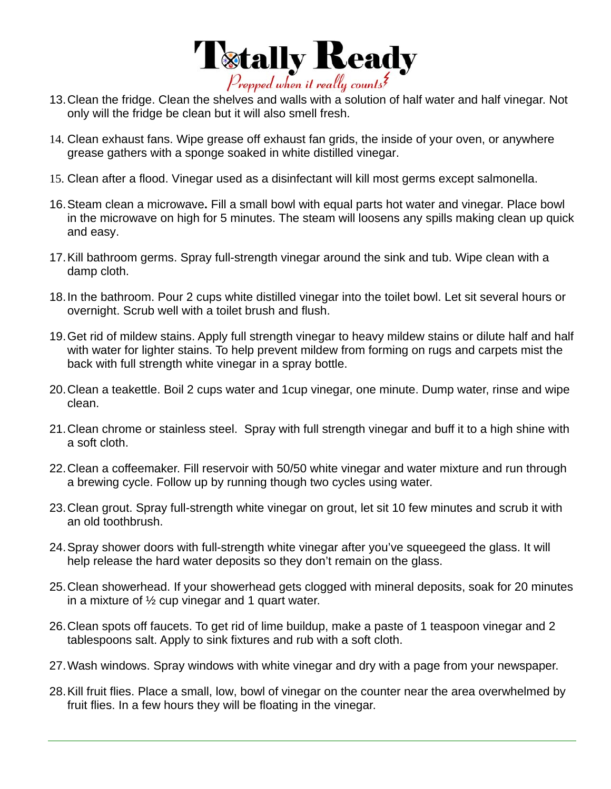

- 13. Clean the fridge. Clean the shelves and walls with a solution of half water and half vinegar. Not only will the fridge be clean but it will also smell fresh.
- 14. Clean exhaust fans. Wipe grease off exhaust fan grids, the inside of your oven, or anywhere grease gathers with a sponge soaked in white distilled vinegar.
- 15. Clean after a flood. Vinegar used as a disinfectant will kill most germs except salmonella.
- 16. Steam clean a microwave**.** Fill a small bowl with equal parts hot water and vinegar. Place bowl in the microwave on high for 5 minutes. The steam will loosens any spills making clean up quick and easy.
- 17. Kill bathroom germs. Spray full-strength vinegar around the sink and tub. Wipe clean with a damp cloth.
- 18. In the bathroom. Pour 2 cups white distilled vinegar into the toilet bowl. Let sit several hours or overnight. Scrub well with a toilet brush and flush.
- 19. Get rid of mildew stains. Apply full strength vinegar to heavy mildew stains or dilute half and half with water for lighter stains. To help prevent mildew from forming on rugs and carpets mist the back with full strength white vinegar in a spray bottle.
- 20. Clean a teakettle. Boil 2 cups water and 1cup vinegar, one minute. Dump water, rinse and wipe clean.
- 21. Clean chrome or stainless steel. Spray with full strength vinegar and buff it to a high shine with a soft cloth.
- 22. Clean a coffeemaker. Fill reservoir with 50/50 white vinegar and water mixture and run through a brewing cycle. Follow up by running though two cycles using water.
- 23. Clean grout. Spray full-strength white vinegar on grout, let sit 10 few minutes and scrub it with an old toothbrush.
- 24. Spray shower doors with full-strength white vinegar after you've squeegeed the glass. It will help release the hard water deposits so they don't remain on the glass.
- 25. Clean showerhead. If your showerhead gets clogged with mineral deposits, soak for 20 minutes in a mixture of  $\frac{1}{2}$  cup vinegar and 1 quart water.
- 26. Clean spots off faucets. To get rid of lime buildup, make a paste of 1 teaspoon vinegar and 2 tablespoons salt. Apply to sink fixtures and rub with a soft cloth.
- 27. Wash windows. Spray windows with white vinegar and dry with a page from your newspaper.
- 28. Kill fruit flies. Place a small, low, bowl of vinegar on the counter near the area overwhelmed by fruit flies. In a few hours they will be floating in the vinegar.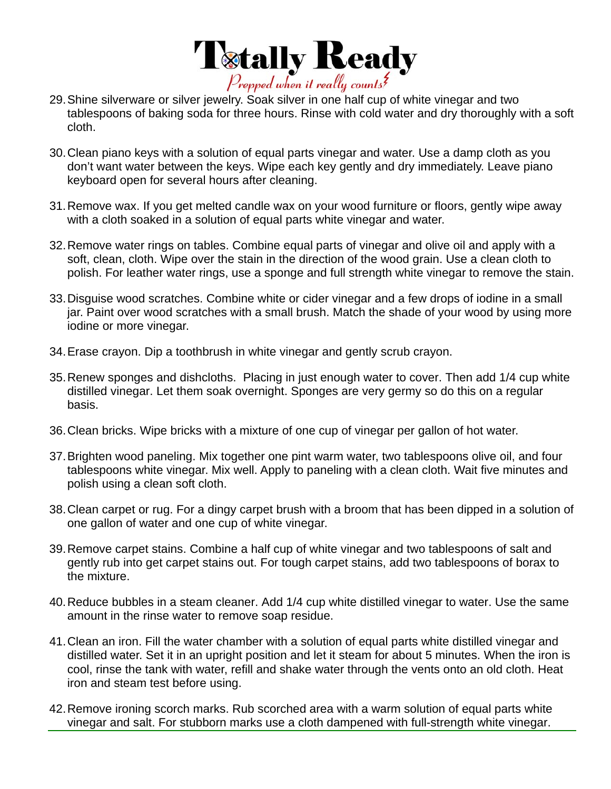

- 29. Shine silverware or silver jewelry. Soak silver in one half cup of white vinegar and two tablespoons of baking soda for three hours. Rinse with cold water and dry thoroughly with a soft cloth.
- 30. Clean piano keys with a solution of equal parts vinegar and water. Use a damp cloth as you don't want water between the keys. Wipe each key gently and dry immediately. Leave piano keyboard open for several hours after cleaning.
- 31. Remove wax. If you get melted candle wax on your wood furniture or floors, gently wipe away with a cloth soaked in a solution of equal parts white vinegar and water.
- 32. Remove water rings on tables. Combine equal parts of vinegar and olive oil and apply with a soft, clean, cloth. Wipe over the stain in the direction of the wood grain. Use a clean cloth to polish. For leather water rings, use a sponge and full strength white vinegar to remove the stain.
- 33. Disguise wood scratches. Combine white or cider vinegar and a few drops of iodine in a small jar. Paint over wood scratches with a small brush. Match the shade of your wood by using more iodine or more vinegar.
- 34. Erase crayon. Dip a toothbrush in white vinegar and gently scrub crayon.
- 35. Renew sponges and dishcloths. Placing in just enough water to cover. Then add 1/4 cup white distilled vinegar. Let them soak overnight. Sponges are very germy so do this on a regular basis.
- 36. Clean bricks. Wipe bricks with a mixture of one cup of vinegar per gallon of hot water.
- 37. Brighten wood paneling. Mix together one pint warm water, two tablespoons olive oil, and four tablespoons white vinegar. Mix well. Apply to paneling with a clean cloth. Wait five minutes and polish using a clean soft cloth.
- 38. Clean carpet or rug. For a dingy carpet brush with a broom that has been dipped in a solution of one gallon of water and one cup of white vinegar.
- 39. Remove carpet stains. Combine a half cup of white vinegar and two tablespoons of salt and gently rub into get carpet stains out. For tough carpet stains, add two tablespoons of borax to the mixture.
- 40. Reduce bubbles in a steam cleaner. Add 1/4 cup white distilled vinegar to water. Use the same amount in the rinse water to remove soap residue.
- 41. Clean an iron. Fill the water chamber with a solution of equal parts white distilled vinegar and distilled water. Set it in an upright position and let it steam for about 5 minutes. When the iron is cool, rinse the tank with water, refill and shake water through the vents onto an old cloth. Heat iron and steam test before using.
- 42. Remove ironing scorch marks. Rub scorched area with a warm solution of equal parts white vinegar and salt. For stubborn marks use a cloth dampened with full-strength white vinegar.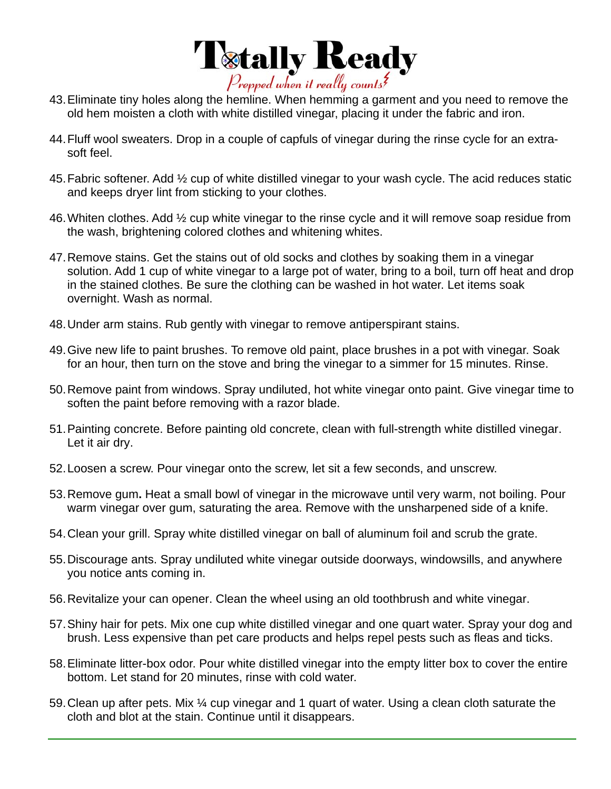

- 43. Eliminate tiny holes along the hemline. When hemming a garment and you need to remove the old hem moisten a cloth with white distilled vinegar, placing it under the fabric and iron.
- 44. Fluff wool sweaters. Drop in a couple of capfuls of vinegar during the rinse cycle for an extrasoft feel.
- 45. Fabric softener. Add ½ cup of white distilled vinegar to your wash cycle. The acid reduces static and keeps dryer lint from sticking to your clothes.
- 46. Whiten clothes. Add ½ cup white vinegar to the rinse cycle and it will remove soap residue from the wash, brightening colored clothes and whitening whites.
- 47. Remove stains. Get the stains out of old socks and clothes by soaking them in a vinegar solution. Add 1 cup of white vinegar to a large pot of water, bring to a boil, turn off heat and drop in the stained clothes. Be sure the clothing can be washed in hot water. Let items soak overnight. Wash as normal.
- 48. Under arm stains. Rub gently with vinegar to remove antiperspirant stains.
- 49. Give new life to paint brushes. To remove old paint, place brushes in a pot with vinegar. Soak for an hour, then turn on the stove and bring the vinegar to a simmer for 15 minutes. Rinse.
- 50. Remove paint from windows. Spray undiluted, hot white vinegar onto paint. Give vinegar time to soften the paint before removing with a razor blade.
- 51. Painting concrete. Before painting old concrete, clean with full-strength white distilled vinegar. Let it air dry.
- 52. Loosen a screw. Pour vinegar onto the screw, let sit a few seconds, and unscrew.
- 53. Remove gum**.** Heat a small bowl of vinegar in the microwave until very warm, not boiling. Pour warm vinegar over gum, saturating the area. Remove with the unsharpened side of a knife.
- 54. Clean your grill. Spray white distilled vinegar on ball of aluminum foil and scrub the grate.
- 55. Discourage ants. Spray undiluted white vinegar outside doorways, windowsills, and anywhere you notice ants coming in.
- 56. Revitalize your can opener. Clean the wheel using an old toothbrush and white vinegar.
- 57. Shiny hair for pets. Mix one cup white distilled vinegar and one quart water. Spray your dog and brush. Less expensive than pet care products and helps repel pests such as fleas and ticks.
- 58. Eliminate litter-box odor. Pour white distilled vinegar into the empty litter box to cover the entire bottom. Let stand for 20 minutes, rinse with cold water.
- 59. Clean up after pets. Mix ¼ cup vinegar and 1 quart of water. Using a clean cloth saturate the cloth and blot at the stain. Continue until it disappears.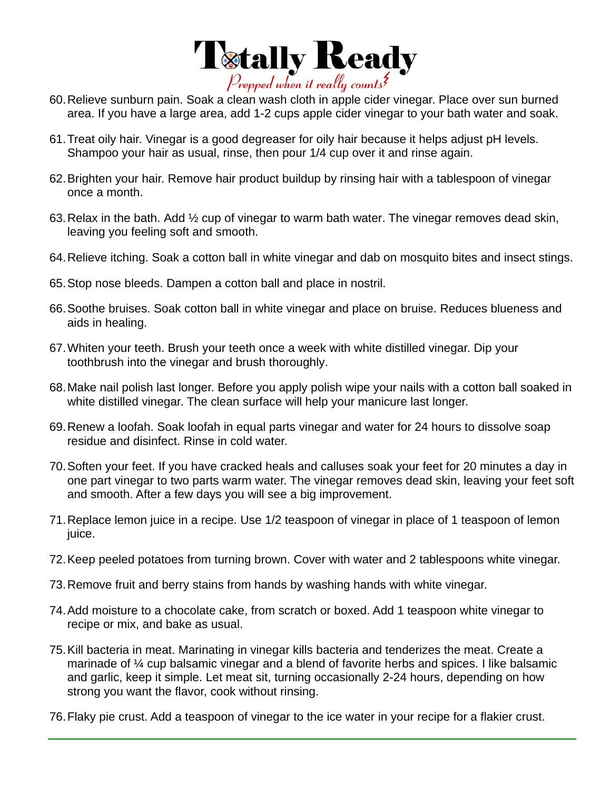

- 60. Relieve sunburn pain. Soak a clean wash cloth in apple cider vinegar. Place over sun burned area. If you have a large area, add 1-2 cups apple cider vinegar to your bath water and soak.
- 61. Treat oily hair. Vinegar is a good degreaser for oily hair because it helps adjust pH levels. Shampoo your hair as usual, rinse, then pour 1/4 cup over it and rinse again.
- 62. Brighten your hair. Remove hair product buildup by rinsing hair with a tablespoon of vinegar once a month.
- 63. Relax in the bath. Add ½ cup of vinegar to warm bath water. The vinegar removes dead skin, leaving you feeling soft and smooth.
- 64. Relieve itching. Soak a cotton ball in white vinegar and dab on mosquito bites and insect stings.
- 65. Stop nose bleeds. Dampen a cotton ball and place in nostril.
- 66. Soothe bruises. Soak cotton ball in white vinegar and place on bruise. Reduces blueness and aids in healing.
- 67. Whiten your teeth. Brush your teeth once a week with white distilled vinegar. Dip your toothbrush into the vinegar and brush thoroughly.
- 68. Make nail polish last longer. Before you apply polish wipe your nails with a cotton ball soaked in white distilled vinegar. The clean surface will help your manicure last longer.
- 69. Renew a loofah. Soak loofah in equal parts vinegar and water for 24 hours to dissolve soap residue and disinfect. Rinse in cold water.
- 70. Soften your feet. If you have cracked heals and calluses soak your feet for 20 minutes a day in one part vinegar to two parts warm water. The vinegar removes dead skin, leaving your feet soft and smooth. After a few days you will see a big improvement.
- 71. Replace lemon juice in a recipe. Use 1/2 teaspoon of vinegar in place of 1 teaspoon of lemon juice.
- 72. Keep peeled potatoes from turning brown. Cover with water and 2 tablespoons white vinegar.
- 73. Remove fruit and berry stains from hands by washing hands with white vinegar.
- 74. Add moisture to a chocolate cake, from scratch or boxed. Add 1 teaspoon white vinegar to recipe or mix, and bake as usual.
- 75. Kill bacteria in meat. Marinating in vinegar kills bacteria and tenderizes the meat. Create a marinade of ¼ cup balsamic vinegar and a blend of favorite herbs and spices. I like balsamic and garlic, keep it simple. Let meat sit, turning occasionally 2-24 hours, depending on how strong you want the flavor, cook without rinsing.
- 76. Flaky pie crust. Add a teaspoon of vinegar to the ice water in your recipe for a flakier crust.